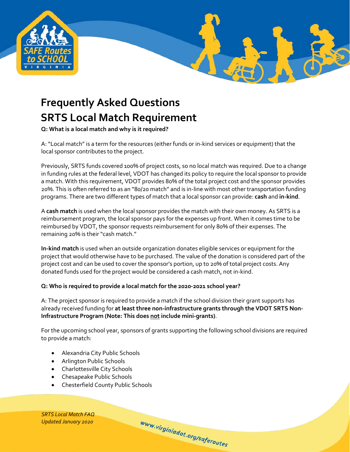

# **Frequently Asked Questions SRTS Local Match Requirement**

**Q: What is a local match and why is it required?**

A: "Local match" is a term for the resources (either funds or in‐kind services or equipment) that the local sponsor contributes to the project.

Previously, SRTS funds covered 100% of project costs, so no local match was required. Due to a change in funding rules at the federal level, VDOT has changed its policy to require the local sponsor to provide a match. With this requirement, VDOT provides 80% of the total project cost and the sponsor provides 20%. This is often referred to as an "80/20 match" and is in‐line with most other transportation funding programs. There are two different types of match that a local sponsor can provide: **cash** and **in‐kind**.

A **cash match** is used when the local sponsor provides the match with their own money. As SRTS is a reimbursement program, the local sponsor pays for the expenses up front. When it comes time to be reimbursed by VDOT, the sponsor requests reimbursement for only 80% of their expenses. The remaining 20% is their "cash match."

**In‐kind match** is used when an outside organization donates eligible services or equipment for the project that would otherwise have to be purchased. The value of the donation is considered part of the project cost and can be used to cover the sponsor's portion, up to 20% of total project costs. Any donated funds used for the project would be considered a cash match, not in‐kind.

### **Q: Who is required to provide a local match for the 2020-2021 school year?**

A: The project sponsor is required to provide a match if the school division their grant supports has already received funding for **at least three non-infrastructure grants through the VDOT SRTS Non-Infrastructure Program (Note: This does not include mini-grants)**.

For the upcoming school year, sponsors of grants supporting the following school divisions are required to provide a match:

www.virginiadot.org/saferoutes

- Alexandria City Public Schools
- Arlington Public Schools
- Charlottesville City Schools
- Chesapeake Public Schools
- Chesterfield County Public Schools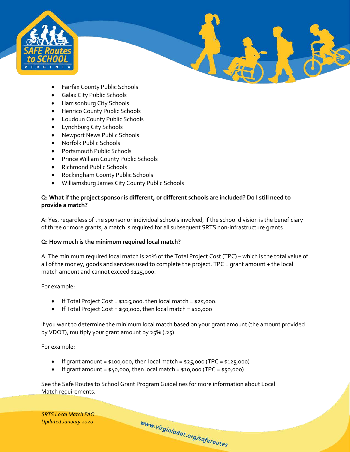

- Fairfax County Public Schools
- Galax City Public Schools
- Harrisonburg City Schools
- Henrico County Public Schools
- Loudoun County Public Schools
- Lynchburg City Schools
- Newport News Public Schools
- Norfolk Public Schools
- Portsmouth Public Schools
- Prince William County Public Schools
- Richmond Public Schools
- Rockingham County Public Schools
- Williamsburg James City County Public Schools

### **Q: What if the project sponsor is different, or different schools are included? Do I still need to provide a match?**

A: Yes, regardless of the sponsor or individual schools involved, if the school division is the beneficiary of three or more grants, a match is required for all subsequent SRTS non-infrastructure grants.

### **Q: How much is the minimum required local match?**

A: The minimum required local match is 20% of the Total Project Cost (TPC) – which is the total value of all of the money, goods and services used to complete the project. TPC = grant amount + the local match amount and cannot exceed \$125,000.

For example:

- If Total Project Cost =  $$125,000$ , then local match =  $$25,000$ .
- If Total Project Cost = \$50,000, then local match = \$10,000

If you want to determine the minimum local match based on your grant amount (the amount provided by VDOT), multiply your grant amount by 25% (.25).

www.virginiadot.org/saferoutes

For example:

- If grant amount =  $$100,000$ , then local match =  $$25,000$  (TPC =  $$125,000$ )
- If grant amount =  $$40,000$ , then local match =  $$10,000$  (TPC =  $$50,000$ )

See the Safe Routes to School Grant Program Guidelines for more information about Local Match requirements.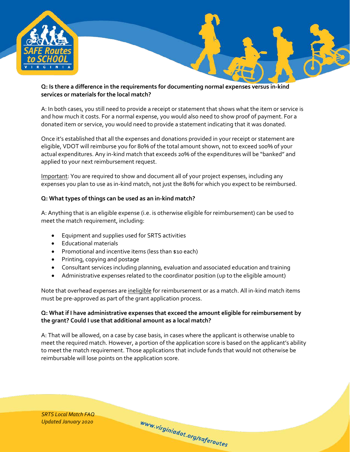

## **Q: Is there a difference in the requirements for documenting normal expenses versus in-kind services or materials for the local match?**

A: In both cases, you still need to provide a receipt or statement that shows what the item or service is and how much it costs. For a normal expense, you would also need to show proof of payment. For a donated item or service, you would need to provide a statement indicating that it was donated.

Once it's established that all the expenses and donations provided in your receipt or statement are eligible, VDOT will reimburse you for 80% of the total amount shown, not to exceed 100% of your actual expenditures. Any in-kind match that exceeds 20% of the expenditures will be "banked" and applied to your next reimbursement request.

Important: You are required to show and document all of your project expenses, including any expenses you plan to use as in-kind match, not just the 80% for which you expect to be reimbursed.

# **Q: What types of things can be used as an in-kind match?**

A: Anything that is an eligible expense (i.e. is otherwise eligible for reimbursement) can be used to meet the match requirement, including:

- Equipment and supplies used for SRTS activities
- Educational materials
- Promotional and incentive items (less than \$10 each)
- Printing, copying and postage
- Consultant services including planning, evaluation and associated education and training
- Administrative expenses related to the coordinator position (up to the eligible amount)

Note that overhead expenses are ineligible for reimbursement or as a match. All in-kind match items must be pre-approved as part of the grant application process.

# **Q: What if I have administrative expenses that exceed the amount eligible for reimbursement by the grant? Could I use that additional amount as a local match?**

A: That will be allowed, on a case by case basis, in cases where the applicant is otherwise unable to meet the required match. However, a portion of the application score is based on the applicant's ability to meet the match requirement. Those applications that include funds that would not otherwise be reimbursable will lose points on the application score.

www.virginiadot.org/saferoutes